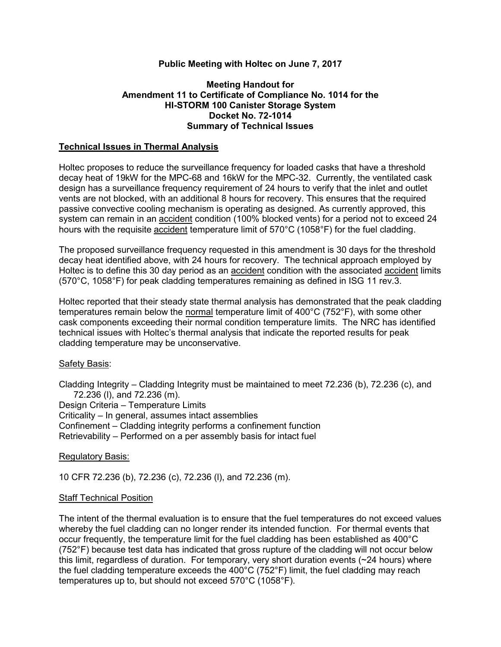# **Public Meeting with Holtec on June 7, 2017**

## **Meeting Handout for Amendment 11 to Certificate of Compliance No. 1014 for the HI-STORM 100 Canister Storage System Docket No. 72-1014 Summary of Technical Issues**

### **Technical Issues in Thermal Analysis**

Holtec proposes to reduce the surveillance frequency for loaded casks that have a threshold decay heat of 19kW for the MPC-68 and 16kW for the MPC-32. Currently, the ventilated cask design has a surveillance frequency requirement of 24 hours to verify that the inlet and outlet vents are not blocked, with an additional 8 hours for recovery. This ensures that the required passive convective cooling mechanism is operating as designed. As currently approved, this system can remain in an accident condition (100% blocked vents) for a period not to exceed 24 hours with the requisite **accident** temperature limit of 570°C (1058°F) for the fuel cladding.

The proposed surveillance frequency requested in this amendment is 30 days for the threshold decay heat identified above, with 24 hours for recovery. The technical approach employed by Holtec is to define this 30 day period as an accident condition with the associated accident limits (570°C, 1058°F) for peak cladding temperatures remaining as defined in ISG 11 rev.3.

Holtec reported that their steady state thermal analysis has demonstrated that the peak cladding temperatures remain below the normal temperature limit of 400°C (752°F), with some other cask components exceeding their normal condition temperature limits. The NRC has identified technical issues with Holtec's thermal analysis that indicate the reported results for peak cladding temperature may be unconservative.

### Safety Basis:

Cladding Integrity – Cladding Integrity must be maintained to meet 72.236 (b), 72.236 (c), and 72.236 (l), and 72.236 (m).

Design Criteria – Temperature Limits

Criticality – In general, assumes intact assemblies

Confinement – Cladding integrity performs a confinement function

Retrievability – Performed on a per assembly basis for intact fuel

### Regulatory Basis:

10 CFR 72.236 (b), 72.236 (c), 72.236 (l), and 72.236 (m).

### Staff Technical Position

The intent of the thermal evaluation is to ensure that the fuel temperatures do not exceed values whereby the fuel cladding can no longer render its intended function. For thermal events that occur frequently, the temperature limit for the fuel cladding has been established as 400°C (752°F) because test data has indicated that gross rupture of the cladding will not occur below this limit, regardless of duration. For temporary, very short duration events (~24 hours) where the fuel cladding temperature exceeds the 400°C (752°F) limit, the fuel cladding may reach temperatures up to, but should not exceed 570°C (1058°F).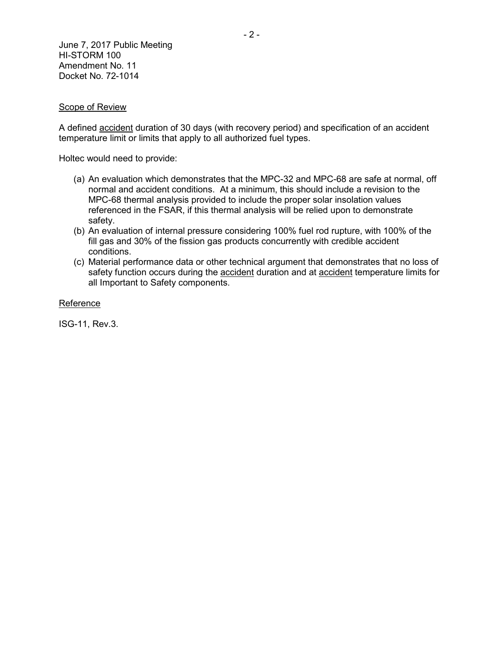June 7, 2017 Public Meeting HI-STORM 100 Amendment No. 11 Docket No. 72-1014

### Scope of Review

A defined accident duration of 30 days (with recovery period) and specification of an accident temperature limit or limits that apply to all authorized fuel types.

Holtec would need to provide:

- (a) An evaluation which demonstrates that the MPC-32 and MPC-68 are safe at normal, off normal and accident conditions. At a minimum, this should include a revision to the MPC-68 thermal analysis provided to include the proper solar insolation values referenced in the FSAR, if this thermal analysis will be relied upon to demonstrate safety.
- (b) An evaluation of internal pressure considering 100% fuel rod rupture, with 100% of the fill gas and 30% of the fission gas products concurrently with credible accident conditions.
- (c) Material performance data or other technical argument that demonstrates that no loss of safety function occurs during the accident duration and at accident temperature limits for all Important to Safety components.

#### Reference

ISG-11, Rev.3.